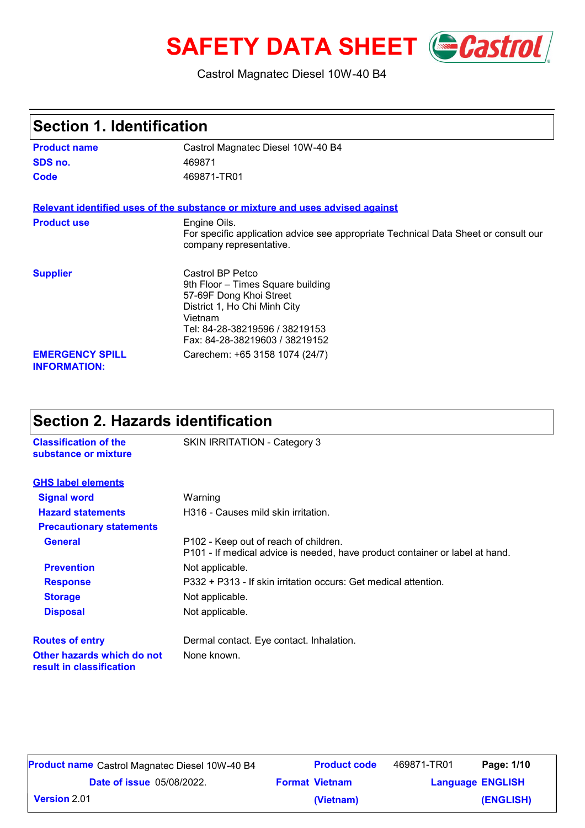# **SAFETY DATA SHEET** *Castrol*

#### Castrol Magnatec Diesel 10W-40 B4

| Section 1. Identification                     |                                                                                                                                                                                                 |  |
|-----------------------------------------------|-------------------------------------------------------------------------------------------------------------------------------------------------------------------------------------------------|--|
| <b>Product name</b>                           | Castrol Magnatec Diesel 10W-40 B4                                                                                                                                                               |  |
| SDS no.                                       | 469871                                                                                                                                                                                          |  |
| Code                                          | 469871-TR01                                                                                                                                                                                     |  |
|                                               | Relevant identified uses of the substance or mixture and uses advised against                                                                                                                   |  |
| <b>Product use</b>                            | Engine Oils.<br>For specific application advice see appropriate Technical Data Sheet or consult our<br>company representative.                                                                  |  |
| <b>Supplier</b>                               | Castrol BP Petco<br>9th Floor - Times Square building<br>57-69F Dong Khoi Street<br>District 1, Ho Chi Minh City<br>Vietnam<br>Tel: 84-28-38219596 / 38219153<br>Fax: 84-28-38219603 / 38219152 |  |
| <b>EMERGENCY SPILL</b><br><b>INFORMATION:</b> | Carechem: +65 3158 1074 (24/7)                                                                                                                                                                  |  |

### **Section 2. Hazards identification**

**Classification of the** SKIN IRRITATION - Category 3

| substance or mixture                                   |                                                                                                                       |  |  |
|--------------------------------------------------------|-----------------------------------------------------------------------------------------------------------------------|--|--|
| <b>GHS label elements</b>                              |                                                                                                                       |  |  |
| <b>Signal word</b>                                     | Warning                                                                                                               |  |  |
| <b>Hazard statements</b>                               | H316 - Causes mild skin irritation.                                                                                   |  |  |
| <b>Precautionary statements</b>                        |                                                                                                                       |  |  |
| <b>General</b>                                         | P102 - Keep out of reach of children.<br>P101 - If medical advice is needed, have product container or label at hand. |  |  |
| <b>Prevention</b>                                      | Not applicable.                                                                                                       |  |  |
| <b>Response</b>                                        | P332 + P313 - If skin irritation occurs: Get medical attention.                                                       |  |  |
| <b>Storage</b>                                         | Not applicable.                                                                                                       |  |  |
| <b>Disposal</b>                                        | Not applicable.                                                                                                       |  |  |
| <b>Routes of entry</b>                                 | Dermal contact. Eye contact. Inhalation.                                                                              |  |  |
| Other hazards which do not<br>result in classification | None known.                                                                                                           |  |  |

| <b>Product name</b> Castrol Magnatec Diesel 10W-40 B4 | <b>Product code</b>   | 469871-TR01             | Page: 1/10 |
|-------------------------------------------------------|-----------------------|-------------------------|------------|
| <b>Date of issue 05/08/2022.</b>                      | <b>Format Vietnam</b> | <b>Language ENGLISH</b> |            |
| <b>Version 2.01</b>                                   | (Vietnam)             |                         | (ENGLISH)  |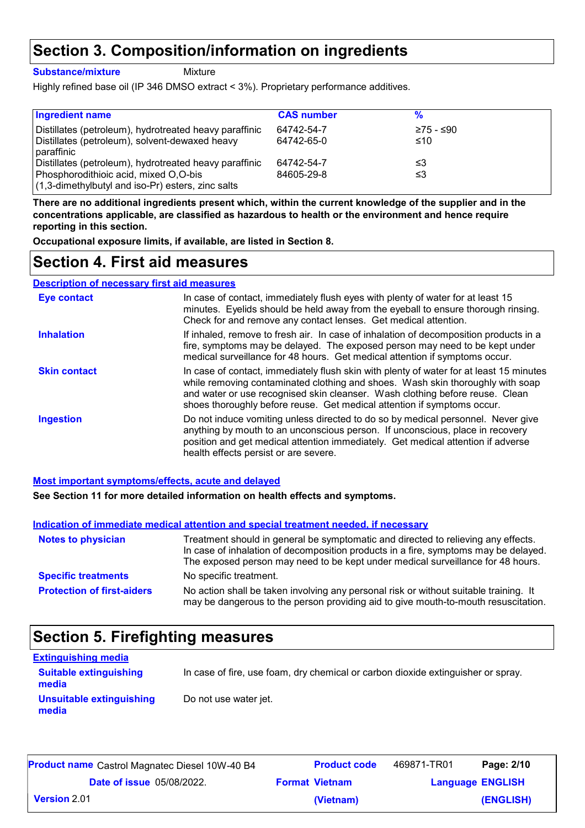### **Section 3. Composition/information on ingredients**

**Substance/mixture**

Mixture

Highly refined base oil (IP 346 DMSO extract < 3%). Proprietary performance additives.

| <b>Ingredient name</b>                                                                                   | <b>CAS number</b>        |                  |
|----------------------------------------------------------------------------------------------------------|--------------------------|------------------|
| Distillates (petroleum), hydrotreated heavy paraffinic<br>Distillates (petroleum), solvent-dewaxed heavy | 64742-54-7<br>64742-65-0 | ≥75 - ≤90<br>≤10 |
| paraffinic                                                                                               |                          |                  |
| Distillates (petroleum), hydrotreated heavy paraffinic                                                   | 64742-54-7               | ≤3               |
| Phosphorodithioic acid, mixed O,O-bis<br>$(1,3$ -dimethylbutyl and iso-Pr) esters, zinc salts            | 84605-29-8               | ≤3               |

**There are no additional ingredients present which, within the current knowledge of the supplier and in the concentrations applicable, are classified as hazardous to health or the environment and hence require reporting in this section.**

**Occupational exposure limits, if available, are listed in Section 8.**

### **Section 4. First aid measures**

**Description of necessary first aid measures**

| <b>Eye contact</b>  | In case of contact, immediately flush eyes with plenty of water for at least 15<br>minutes. Eyelids should be held away from the eyeball to ensure thorough rinsing.<br>Check for and remove any contact lenses. Get medical attention.                                                                                              |
|---------------------|--------------------------------------------------------------------------------------------------------------------------------------------------------------------------------------------------------------------------------------------------------------------------------------------------------------------------------------|
| <b>Inhalation</b>   | If inhaled, remove to fresh air. In case of inhalation of decomposition products in a<br>fire, symptoms may be delayed. The exposed person may need to be kept under<br>medical surveillance for 48 hours. Get medical attention if symptoms occur.                                                                                  |
| <b>Skin contact</b> | In case of contact, immediately flush skin with plenty of water for at least 15 minutes<br>while removing contaminated clothing and shoes. Wash skin thoroughly with soap<br>and water or use recognised skin cleanser. Wash clothing before reuse. Clean<br>shoes thoroughly before reuse. Get medical attention if symptoms occur. |
| <b>Ingestion</b>    | Do not induce vomiting unless directed to do so by medical personnel. Never give<br>anything by mouth to an unconscious person. If unconscious, place in recovery<br>position and get medical attention immediately. Get medical attention if adverse<br>health effects persist or are severe.                                       |

#### **Most important symptoms/effects, acute and delayed**

**See Section 11 for more detailed information on health effects and symptoms.**

|                                   | Indication of immediate medical attention and special treatment needed, if necessary                                                                                                                                                                        |
|-----------------------------------|-------------------------------------------------------------------------------------------------------------------------------------------------------------------------------------------------------------------------------------------------------------|
| <b>Notes to physician</b>         | Treatment should in general be symptomatic and directed to relieving any effects.<br>In case of inhalation of decomposition products in a fire, symptoms may be delayed.<br>The exposed person may need to be kept under medical surveillance for 48 hours. |
| <b>Specific treatments</b>        | No specific treatment.                                                                                                                                                                                                                                      |
| <b>Protection of first-aiders</b> | No action shall be taken involving any personal risk or without suitable training. It<br>may be dangerous to the person providing aid to give mouth-to-mouth resuscitation.                                                                                 |

### **Section 5. Firefighting measures**

| <b>Extinguishing media</b>             |                                                                                  |
|----------------------------------------|----------------------------------------------------------------------------------|
| <b>Suitable extinguishing</b><br>media | In case of fire, use foam, dry chemical or carbon dioxide extinguisher or spray. |
| Unsuitable extinguishing<br>media      | Do not use water jet.                                                            |

| <b>Product name</b> Castrol Magnatec Diesel 10W-40 B4 | <b>Product code</b>   | 469871-TR01 | Page: 2/10              |
|-------------------------------------------------------|-----------------------|-------------|-------------------------|
| <b>Date of issue 05/08/2022.</b>                      | <b>Format Vietnam</b> |             | <b>Language ENGLISH</b> |
| <b>Version</b> 2.01                                   | (Vietnam)             |             | (ENGLISH)               |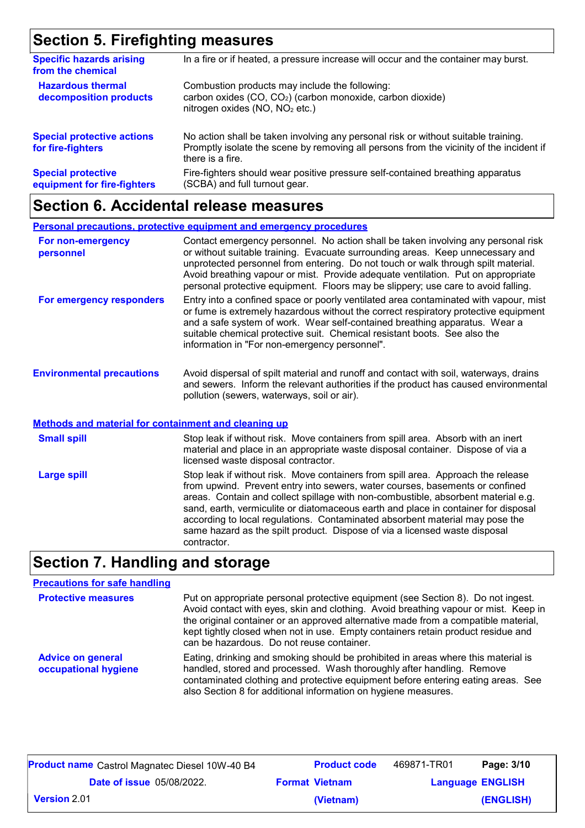## **Section 5. Firefighting measures**

| <b>Specific hazards arising</b><br>from the chemical     | In a fire or if heated, a pressure increase will occur and the container may burst.                                                                                                               |
|----------------------------------------------------------|---------------------------------------------------------------------------------------------------------------------------------------------------------------------------------------------------|
| <b>Hazardous thermal</b><br>decomposition products       | Combustion products may include the following:<br>carbon oxides (CO, CO <sub>2</sub> ) (carbon monoxide, carbon dioxide)<br>nitrogen oxides (NO, NO <sub>2</sub> etc.)                            |
| <b>Special protective actions</b><br>for fire-fighters   | No action shall be taken involving any personal risk or without suitable training.<br>Promptly isolate the scene by removing all persons from the vicinity of the incident if<br>there is a fire. |
| <b>Special protective</b><br>equipment for fire-fighters | Fire-fighters should wear positive pressure self-contained breathing apparatus<br>(SCBA) and full turnout gear.                                                                                   |

# **Section 6. Accidental release measures**

|                                                             | <b>Personal precautions, protective equipment and emergency procedures</b>                                                                                                                                                                                                                                                                                                                                                        |
|-------------------------------------------------------------|-----------------------------------------------------------------------------------------------------------------------------------------------------------------------------------------------------------------------------------------------------------------------------------------------------------------------------------------------------------------------------------------------------------------------------------|
| For non-emergency<br>personnel                              | Contact emergency personnel. No action shall be taken involving any personal risk<br>or without suitable training. Evacuate surrounding areas. Keep unnecessary and<br>unprotected personnel from entering. Do not touch or walk through spilt material.<br>Avoid breathing vapour or mist. Provide adequate ventilation. Put on appropriate<br>personal protective equipment. Floors may be slippery; use care to avoid falling. |
| For emergency responders                                    | Entry into a confined space or poorly ventilated area contaminated with vapour, mist<br>or fume is extremely hazardous without the correct respiratory protective equipment<br>and a safe system of work. Wear self-contained breathing apparatus. Wear a<br>suitable chemical protective suit. Chemical resistant boots. See also the<br>information in "For non-emergency personnel".                                           |
| <b>Environmental precautions</b>                            | Avoid dispersal of spilt material and runoff and contact with soil, waterways, drains<br>and sewers. Inform the relevant authorities if the product has caused environmental<br>pollution (sewers, waterways, soil or air).                                                                                                                                                                                                       |
| <b>Methods and material for containment and cleaning up</b> |                                                                                                                                                                                                                                                                                                                                                                                                                                   |
| <b>Small spill</b>                                          | Stop leak if without risk. Move containers from spill area. Absorb with an inert                                                                                                                                                                                                                                                                                                                                                  |

| <b>UNIUMI UPIN</b> | <u>Ulup Iuan II Militual Itun. Muve uutilaituid Itulii upiil alua. Tibuulu Militual Itiuli</u><br>material and place in an appropriate waste disposal container. Dispose of via a<br>licensed waste disposal contractor.                                                                                                                                                                                                                                                                                                 |
|--------------------|--------------------------------------------------------------------------------------------------------------------------------------------------------------------------------------------------------------------------------------------------------------------------------------------------------------------------------------------------------------------------------------------------------------------------------------------------------------------------------------------------------------------------|
| <b>Large spill</b> | Stop leak if without risk. Move containers from spill area. Approach the release<br>from upwind. Prevent entry into sewers, water courses, basements or confined<br>areas. Contain and collect spillage with non-combustible, absorbent material e.g.<br>sand, earth, vermiculite or diatomaceous earth and place in container for disposal<br>according to local regulations. Contaminated absorbent material may pose the<br>same hazard as the spilt product. Dispose of via a licensed waste disposal<br>contractor. |

# **Section 7. Handling and storage**

| <b>Precautions for safe handling</b>             |                                                                                                                                                                                                                                                                                                                                                                                                |
|--------------------------------------------------|------------------------------------------------------------------------------------------------------------------------------------------------------------------------------------------------------------------------------------------------------------------------------------------------------------------------------------------------------------------------------------------------|
| <b>Protective measures</b>                       | Put on appropriate personal protective equipment (see Section 8). Do not ingest.<br>Avoid contact with eyes, skin and clothing. Avoid breathing vapour or mist. Keep in<br>the original container or an approved alternative made from a compatible material,<br>kept tightly closed when not in use. Empty containers retain product residue and<br>can be hazardous. Do not reuse container. |
| <b>Advice on general</b><br>occupational hygiene | Eating, drinking and smoking should be prohibited in areas where this material is<br>handled, stored and processed. Wash thoroughly after handling. Remove<br>contaminated clothing and protective equipment before entering eating areas. See<br>also Section 8 for additional information on hygiene measures.                                                                               |

| <b>Product name</b> Castrol Magnatec Diesel 10W-40 B4 | <b>Product code</b>   | 469871-TR01 | Page: 3/10              |
|-------------------------------------------------------|-----------------------|-------------|-------------------------|
| <b>Date of issue 05/08/2022.</b>                      | <b>Format Vietnam</b> |             | <b>Language ENGLISH</b> |
| <b>Version 2.01</b>                                   | (Vietnam)             |             | (ENGLISH)               |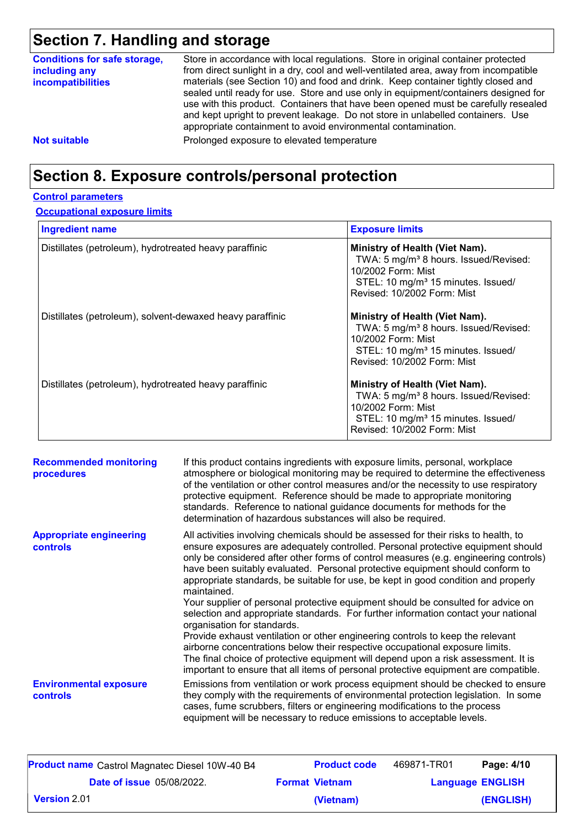# **Section 7. Handling and storage**

| <b>Conditions for safe storage,</b><br>including any<br><b>incompatibilities</b> | Store in accordance with local regulations. Store in original container protected<br>from direct sunlight in a dry, cool and well-ventilated area, away from incompatible<br>materials (see Section 10) and food and drink. Keep container tightly closed and<br>sealed until ready for use. Store and use only in equipment/containers designed for<br>use with this product. Containers that have been opened must be carefully resealed<br>and kept upright to prevent leakage. Do not store in unlabelled containers. Use<br>appropriate containment to avoid environmental contamination. |
|----------------------------------------------------------------------------------|------------------------------------------------------------------------------------------------------------------------------------------------------------------------------------------------------------------------------------------------------------------------------------------------------------------------------------------------------------------------------------------------------------------------------------------------------------------------------------------------------------------------------------------------------------------------------------------------|
| <b>Not suitable</b>                                                              | Prolonged exposure to elevated temperature                                                                                                                                                                                                                                                                                                                                                                                                                                                                                                                                                     |

### **Section 8. Exposure controls/personal protection**

#### **Control parameters**

#### **Occupational exposure limits**

| <b>Ingredient name</b>                                    | <b>Exposure limits</b>                                                                                                                                                                     |
|-----------------------------------------------------------|--------------------------------------------------------------------------------------------------------------------------------------------------------------------------------------------|
| Distillates (petroleum), hydrotreated heavy paraffinic    | Ministry of Health (Viet Nam).<br>TWA: 5 mg/m <sup>3</sup> 8 hours. Issued/Revised:<br>10/2002 Form: Mist<br>STEL: 10 mg/m <sup>3</sup> 15 minutes. Issued/<br>Revised: 10/2002 Form: Mist |
| Distillates (petroleum), solvent-dewaxed heavy paraffinic | Ministry of Health (Viet Nam).<br>TWA: 5 mg/m <sup>3</sup> 8 hours. Issued/Revised:<br>10/2002 Form: Mist<br>STEL: 10 mg/m <sup>3</sup> 15 minutes. Issued/<br>Revised: 10/2002 Form: Mist |
| Distillates (petroleum), hydrotreated heavy paraffinic    | Ministry of Health (Viet Nam).<br>TWA: 5 mg/m <sup>3</sup> 8 hours. Issued/Revised:<br>10/2002 Form: Mist<br>STEL: 10 mg/m <sup>3</sup> 15 minutes. Issued/<br>Revised: 10/2002 Form: Mist |

| <b>Recommended monitoring</b><br>procedures       | If this product contains ingredients with exposure limits, personal, workplace<br>atmosphere or biological monitoring may be required to determine the effectiveness<br>of the ventilation or other control measures and/or the necessity to use respiratory<br>protective equipment. Reference should be made to appropriate monitoring<br>standards. Reference to national guidance documents for methods for the<br>determination of hazardous substances will also be required.                                                                                                                                                                                                                                                                                                                                                                                                                                                                                                                           |
|---------------------------------------------------|---------------------------------------------------------------------------------------------------------------------------------------------------------------------------------------------------------------------------------------------------------------------------------------------------------------------------------------------------------------------------------------------------------------------------------------------------------------------------------------------------------------------------------------------------------------------------------------------------------------------------------------------------------------------------------------------------------------------------------------------------------------------------------------------------------------------------------------------------------------------------------------------------------------------------------------------------------------------------------------------------------------|
| <b>Appropriate engineering</b><br><b>controls</b> | All activities involving chemicals should be assessed for their risks to health, to<br>ensure exposures are adequately controlled. Personal protective equipment should<br>only be considered after other forms of control measures (e.g. engineering controls)<br>have been suitably evaluated. Personal protective equipment should conform to<br>appropriate standards, be suitable for use, be kept in good condition and properly<br>maintained.<br>Your supplier of personal protective equipment should be consulted for advice on<br>selection and appropriate standards. For further information contact your national<br>organisation for standards.<br>Provide exhaust ventilation or other engineering controls to keep the relevant<br>airborne concentrations below their respective occupational exposure limits.<br>The final choice of protective equipment will depend upon a risk assessment. It is<br>important to ensure that all items of personal protective equipment are compatible. |
| <b>Environmental exposure</b><br><b>controls</b>  | Emissions from ventilation or work process equipment should be checked to ensure<br>they comply with the requirements of environmental protection legislation. In some<br>cases, fume scrubbers, filters or engineering modifications to the process<br>equipment will be necessary to reduce emissions to acceptable levels.                                                                                                                                                                                                                                                                                                                                                                                                                                                                                                                                                                                                                                                                                 |

| <b>Product name</b> Castrol Magnatec Diesel 10W-40 B4 | <b>Product code</b>   | 469871-TR01 | Page: 4/10              |
|-------------------------------------------------------|-----------------------|-------------|-------------------------|
| <b>Date of issue 05/08/2022.</b>                      | <b>Format Vietnam</b> |             | <b>Language ENGLISH</b> |
| $\mid$ Version 2.01 $\mid$                            | (Vietnam)             |             | (ENGLISH)               |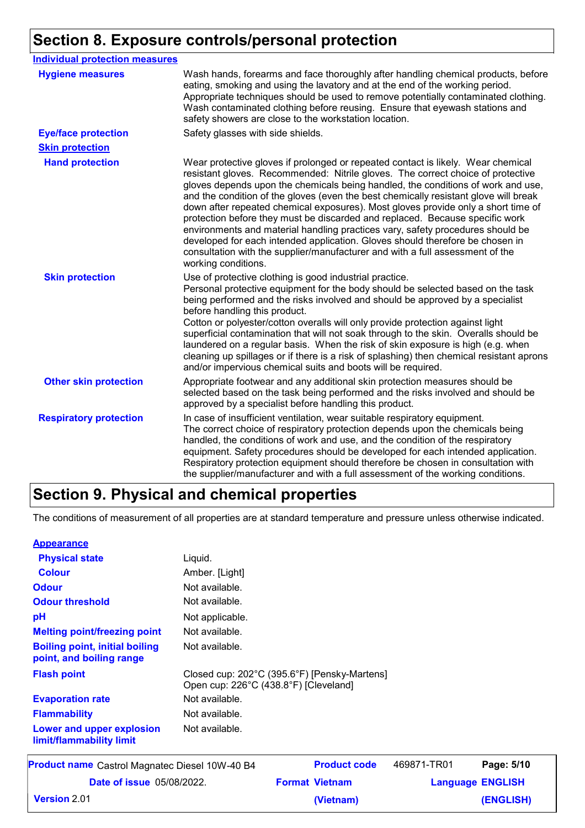# **Section 8. Exposure controls/personal protection**

| <b>Individual protection measures</b> |                                                                                                                                                                                                                                                                                                                                                                                                                                                                                                                                                                                                                                                                                                                                                                                                 |
|---------------------------------------|-------------------------------------------------------------------------------------------------------------------------------------------------------------------------------------------------------------------------------------------------------------------------------------------------------------------------------------------------------------------------------------------------------------------------------------------------------------------------------------------------------------------------------------------------------------------------------------------------------------------------------------------------------------------------------------------------------------------------------------------------------------------------------------------------|
| <b>Hygiene measures</b>               | Wash hands, forearms and face thoroughly after handling chemical products, before<br>eating, smoking and using the lavatory and at the end of the working period.<br>Appropriate techniques should be used to remove potentially contaminated clothing.<br>Wash contaminated clothing before reusing. Ensure that eyewash stations and<br>safety showers are close to the workstation location.                                                                                                                                                                                                                                                                                                                                                                                                 |
| <b>Eye/face protection</b>            | Safety glasses with side shields.                                                                                                                                                                                                                                                                                                                                                                                                                                                                                                                                                                                                                                                                                                                                                               |
| <b>Skin protection</b>                |                                                                                                                                                                                                                                                                                                                                                                                                                                                                                                                                                                                                                                                                                                                                                                                                 |
| <b>Hand protection</b>                | Wear protective gloves if prolonged or repeated contact is likely. Wear chemical<br>resistant gloves. Recommended: Nitrile gloves. The correct choice of protective<br>gloves depends upon the chemicals being handled, the conditions of work and use,<br>and the condition of the gloves (even the best chemically resistant glove will break<br>down after repeated chemical exposures). Most gloves provide only a short time of<br>protection before they must be discarded and replaced. Because specific work<br>environments and material handling practices vary, safety procedures should be<br>developed for each intended application. Gloves should therefore be chosen in<br>consultation with the supplier/manufacturer and with a full assessment of the<br>working conditions. |
| <b>Skin protection</b>                | Use of protective clothing is good industrial practice.<br>Personal protective equipment for the body should be selected based on the task<br>being performed and the risks involved and should be approved by a specialist<br>before handling this product.<br>Cotton or polyester/cotton overalls will only provide protection against light<br>superficial contamination that will not soak through to the skin. Overalls should be<br>laundered on a regular basis. When the risk of skin exposure is high (e.g. when<br>cleaning up spillages or if there is a risk of splashing) then chemical resistant aprons<br>and/or impervious chemical suits and boots will be required.                                                                                                           |
| <b>Other skin protection</b>          | Appropriate footwear and any additional skin protection measures should be<br>selected based on the task being performed and the risks involved and should be<br>approved by a specialist before handling this product.                                                                                                                                                                                                                                                                                                                                                                                                                                                                                                                                                                         |
| <b>Respiratory protection</b>         | In case of insufficient ventilation, wear suitable respiratory equipment.<br>The correct choice of respiratory protection depends upon the chemicals being<br>handled, the conditions of work and use, and the condition of the respiratory<br>equipment. Safety procedures should be developed for each intended application.<br>Respiratory protection equipment should therefore be chosen in consultation with<br>the supplier/manufacturer and with a full assessment of the working conditions.                                                                                                                                                                                                                                                                                           |

# **Section 9. Physical and chemical properties**

The conditions of measurement of all properties are at standard temperature and pressure unless otherwise indicated.

| <b>Appearance</b> |
|-------------------|
|-------------------|

| Product name Castrol Magnatec Diesel 10W-40 B4                    |                                                                                       | <b>Product code</b> | 469871-TR01 | Page: 5/10 |
|-------------------------------------------------------------------|---------------------------------------------------------------------------------------|---------------------|-------------|------------|
| Lower and upper explosion<br>limit/flammability limit             | Not available.                                                                        |                     |             |            |
| <b>Flammability</b>                                               | Not available.                                                                        |                     |             |            |
| <b>Evaporation rate</b>                                           | Not available.                                                                        |                     |             |            |
| <b>Flash point</b>                                                | Closed cup: 202°C (395.6°F) [Pensky-Martens]<br>Open cup: 226°C (438.8°F) [Cleveland] |                     |             |            |
| <b>Boiling point, initial boiling</b><br>point, and boiling range | Not available.                                                                        |                     |             |            |
| <b>Melting point/freezing point</b>                               | Not available.                                                                        |                     |             |            |
| pH                                                                | Not applicable.                                                                       |                     |             |            |
| <b>Odour threshold</b>                                            | Not available.                                                                        |                     |             |            |
| <b>Odour</b>                                                      | Not available.                                                                        |                     |             |            |
| <b>Colour</b>                                                     | Amber. [Light]                                                                        |                     |             |            |
| <b>Physical state</b>                                             | Liquid.                                                                               |                     |             |            |
|                                                                   |                                                                                       |                     |             |            |

| <b>Product name</b> Castrol Magnatec Diesel 10W-40 B4 | <b>Product code</b>   | 469871-TR01 | Page: 5/10              |
|-------------------------------------------------------|-----------------------|-------------|-------------------------|
| <b>Date of issue 05/08/2022.</b>                      | <b>Format Vietnam</b> |             | <b>Language ENGLISH</b> |
| <b>Version</b> 2.01                                   | (Vietnam)             |             | (ENGLISH)               |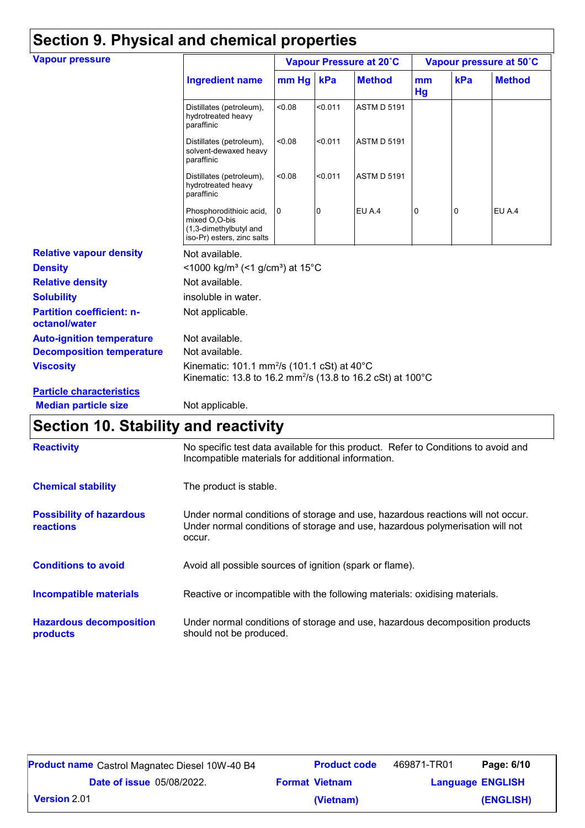| <b>Vapour pressure</b>                            |                                                                                                                                   | Vapour Pressure at 20°C |         |                    | Vapour pressure at 50°C |     |               |
|---------------------------------------------------|-----------------------------------------------------------------------------------------------------------------------------------|-------------------------|---------|--------------------|-------------------------|-----|---------------|
|                                                   | <b>Ingredient name</b>                                                                                                            | mm Hg kPa               |         | <b>Method</b>      | mm<br>Hg                | kPa | <b>Method</b> |
|                                                   | Distillates (petroleum),<br>hydrotreated heavy<br>paraffinic                                                                      | < 0.08                  | < 0.011 | <b>ASTM D 5191</b> |                         |     |               |
|                                                   | Distillates (petroleum),<br>solvent-dewaxed heavy<br>paraffinic                                                                   | <0.08                   | < 0.011 | <b>ASTM D 5191</b> |                         |     |               |
|                                                   | Distillates (petroleum),<br>hydrotreated heavy<br>paraffinic                                                                      | < 0.08                  | < 0.011 | <b>ASTM D 5191</b> |                         |     |               |
|                                                   | Phosphorodithioic acid,<br>mixed O,O-bis<br>(1,3-dimethylbutyl and<br>iso-Pr) esters, zinc salts                                  | <b>O</b>                | 0       | EU A.4             | 0                       | 0   | EU A.4        |
| <b>Relative vapour density</b>                    | Not available.                                                                                                                    |                         |         |                    |                         |     |               |
| <b>Density</b>                                    | <1000 kg/m <sup>3</sup> (<1 g/cm <sup>3</sup> ) at 15°C                                                                           |                         |         |                    |                         |     |               |
| <b>Relative density</b>                           | Not available.                                                                                                                    |                         |         |                    |                         |     |               |
| <b>Solubility</b>                                 | insoluble in water.                                                                                                               |                         |         |                    |                         |     |               |
| <b>Partition coefficient: n-</b><br>octanol/water | Not applicable.                                                                                                                   |                         |         |                    |                         |     |               |
| <b>Auto-ignition temperature</b>                  | Not available.                                                                                                                    |                         |         |                    |                         |     |               |
| <b>Decomposition temperature</b>                  | Not available.                                                                                                                    |                         |         |                    |                         |     |               |
| <b>Viscosity</b>                                  | Kinematic: 101.1 mm <sup>2</sup> /s (101.1 cSt) at 40°C<br>Kinematic: 13.8 to 16.2 mm <sup>2</sup> /s (13.8 to 16.2 cSt) at 100°C |                         |         |                    |                         |     |               |
| <b>Particle characteristics</b>                   |                                                                                                                                   |                         |         |                    |                         |     |               |
| <b>Median particle size</b>                       | Not applicable.                                                                                                                   |                         |         |                    |                         |     |               |

# **Section 10. Stability and reactivity**

| <b>Reactivity</b>                            | No specific test data available for this product. Refer to Conditions to avoid and<br>Incompatible materials for additional information.                                   |  |
|----------------------------------------------|----------------------------------------------------------------------------------------------------------------------------------------------------------------------------|--|
| <b>Chemical stability</b>                    | The product is stable.                                                                                                                                                     |  |
| <b>Possibility of hazardous</b><br>reactions | Under normal conditions of storage and use, hazardous reactions will not occur.<br>Under normal conditions of storage and use, hazardous polymerisation will not<br>occur. |  |
| <b>Conditions to avoid</b>                   | Avoid all possible sources of ignition (spark or flame).                                                                                                                   |  |
| <b>Incompatible materials</b>                | Reactive or incompatible with the following materials: oxidising materials.                                                                                                |  |
| <b>Hazardous decomposition</b><br>products   | Under normal conditions of storage and use, hazardous decomposition products<br>should not be produced.                                                                    |  |

| <b>Product name</b> Castrol Magnatec Diesel 10W-40 B4 | <b>Product code</b>   | 469871-TR01             | Page: 6/10 |
|-------------------------------------------------------|-----------------------|-------------------------|------------|
| <b>Date of issue</b> 05/08/2022.                      | <b>Format Vietnam</b> | <b>Language ENGLISH</b> |            |
| <b>Version 2.01</b>                                   | (Vietnam)             |                         | (ENGLISH)  |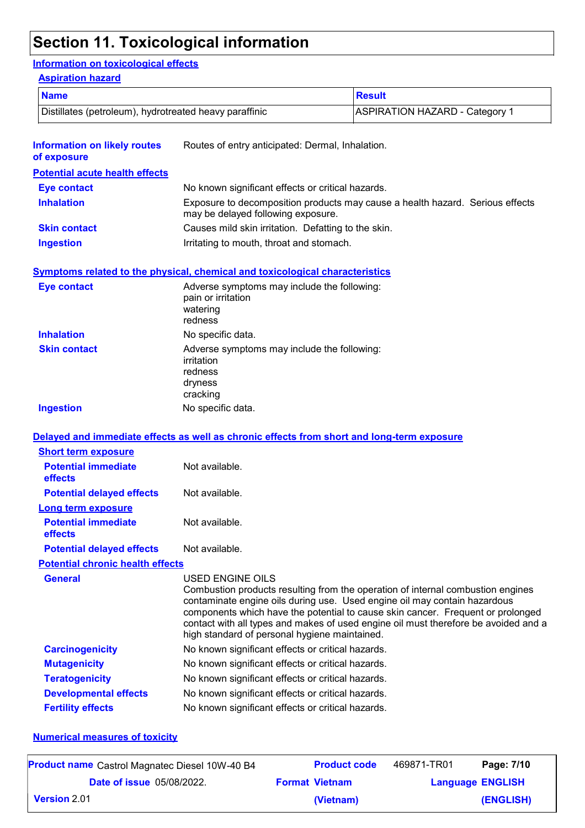# **Section 11. Toxicological information**

#### **Information on toxicological effects**

#### **Aspiration hazard**

| <b>Name</b>                                            |                                                                                             | <b>Result</b>                                                                                                                                                                                                                                                                                                                          |  |  |
|--------------------------------------------------------|---------------------------------------------------------------------------------------------|----------------------------------------------------------------------------------------------------------------------------------------------------------------------------------------------------------------------------------------------------------------------------------------------------------------------------------------|--|--|
| Distillates (petroleum), hydrotreated heavy paraffinic |                                                                                             | <b>ASPIRATION HAZARD - Category 1</b>                                                                                                                                                                                                                                                                                                  |  |  |
| <b>Information on likely routes</b><br>of exposure     | Routes of entry anticipated: Dermal, Inhalation.                                            |                                                                                                                                                                                                                                                                                                                                        |  |  |
| <b>Potential acute health effects</b>                  |                                                                                             |                                                                                                                                                                                                                                                                                                                                        |  |  |
| <b>Eye contact</b>                                     | No known significant effects or critical hazards.                                           |                                                                                                                                                                                                                                                                                                                                        |  |  |
| <b>Inhalation</b>                                      | may be delayed following exposure.                                                          | Exposure to decomposition products may cause a health hazard. Serious effects                                                                                                                                                                                                                                                          |  |  |
| <b>Skin contact</b>                                    | Causes mild skin irritation. Defatting to the skin.                                         |                                                                                                                                                                                                                                                                                                                                        |  |  |
| <b>Ingestion</b>                                       | Irritating to mouth, throat and stomach.                                                    |                                                                                                                                                                                                                                                                                                                                        |  |  |
|                                                        | <b>Symptoms related to the physical, chemical and toxicological characteristics</b>         |                                                                                                                                                                                                                                                                                                                                        |  |  |
| <b>Eye contact</b>                                     | Adverse symptoms may include the following:<br>pain or irritation<br>watering<br>redness    |                                                                                                                                                                                                                                                                                                                                        |  |  |
| <b>Inhalation</b>                                      | No specific data.                                                                           |                                                                                                                                                                                                                                                                                                                                        |  |  |
| <b>Skin contact</b>                                    | Adverse symptoms may include the following:<br>irritation<br>redness<br>dryness<br>cracking |                                                                                                                                                                                                                                                                                                                                        |  |  |
| <b>Ingestion</b>                                       | No specific data.                                                                           |                                                                                                                                                                                                                                                                                                                                        |  |  |
|                                                        | Delayed and immediate effects as well as chronic effects from short and long-term exposure  |                                                                                                                                                                                                                                                                                                                                        |  |  |
| <b>Short term exposure</b>                             |                                                                                             |                                                                                                                                                                                                                                                                                                                                        |  |  |
| <b>Potential immediate</b><br>effects                  | Not available.                                                                              |                                                                                                                                                                                                                                                                                                                                        |  |  |
| <b>Potential delayed effects</b>                       | Not available.                                                                              |                                                                                                                                                                                                                                                                                                                                        |  |  |
| <b>Long term exposure</b>                              |                                                                                             |                                                                                                                                                                                                                                                                                                                                        |  |  |
| <b>Potential immediate</b><br>effects                  | Not available.                                                                              |                                                                                                                                                                                                                                                                                                                                        |  |  |
| <b>Potential delayed effects</b>                       | Not available.                                                                              |                                                                                                                                                                                                                                                                                                                                        |  |  |
| <b>Potential chronic health effects</b>                |                                                                                             |                                                                                                                                                                                                                                                                                                                                        |  |  |
| <b>General</b>                                         | USED ENGINE OILS<br>high standard of personal hygiene maintained.                           | Combustion products resulting from the operation of internal combustion engines<br>contaminate engine oils during use. Used engine oil may contain hazardous<br>components which have the potential to cause skin cancer. Frequent or prolonged<br>contact with all types and makes of used engine oil must therefore be avoided and a |  |  |
| <b>Carcinogenicity</b>                                 | No known significant effects or critical hazards.                                           |                                                                                                                                                                                                                                                                                                                                        |  |  |
| <b>Mutagenicity</b>                                    | No known significant effects or critical hazards.                                           |                                                                                                                                                                                                                                                                                                                                        |  |  |
| <b>Teratogenicity</b>                                  | No known significant effects or critical hazards.                                           |                                                                                                                                                                                                                                                                                                                                        |  |  |
| <b>Developmental effects</b>                           | No known significant effects or critical hazards.                                           |                                                                                                                                                                                                                                                                                                                                        |  |  |
| <b>Fertility effects</b>                               | No known significant effects or critical hazards.                                           |                                                                                                                                                                                                                                                                                                                                        |  |  |

#### **Numerical measures of toxicity**

| <b>Product name</b> Castrol Magnatec Diesel 10W-40 B4 | <b>Product code</b>   | 469871-TR01             | Page: 7/10 |
|-------------------------------------------------------|-----------------------|-------------------------|------------|
| <b>Date of issue</b> 05/08/2022.                      | <b>Format Vietnam</b> | <b>Language ENGLISH</b> |            |
| $\mid$ Version 2.01 $\mid$                            | (Vietnam)             |                         | (ENGLISH)  |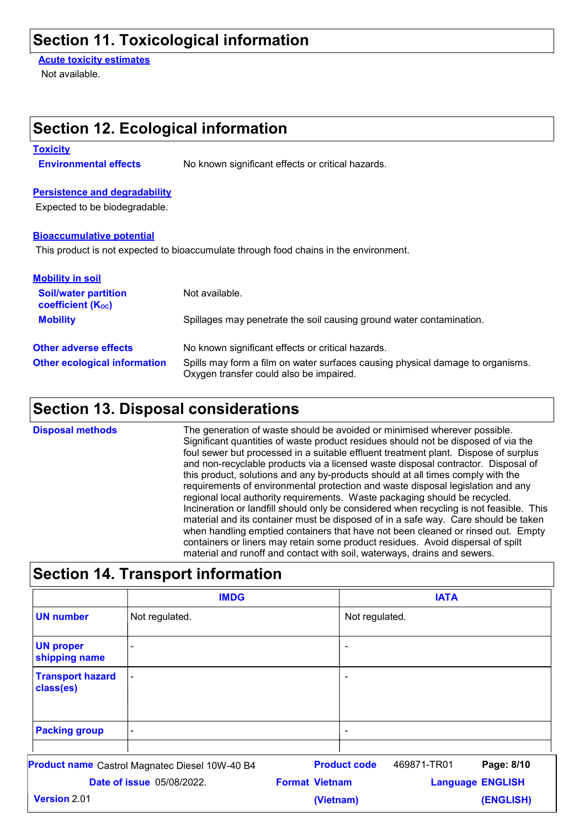## **Section 11. Toxicological information**

**Section 12. Ecological information**

**Acute toxicity estimates**

Not available.

| <b>Toxicity</b>                                                                    |                                  |                                                                                       |                                                                                                                                                                                                                                                                                                                                                                                                                                                                                                                                                                                                                                                                                                                                                                                                                                                                                                                                                        |  |  |  |
|------------------------------------------------------------------------------------|----------------------------------|---------------------------------------------------------------------------------------|--------------------------------------------------------------------------------------------------------------------------------------------------------------------------------------------------------------------------------------------------------------------------------------------------------------------------------------------------------------------------------------------------------------------------------------------------------------------------------------------------------------------------------------------------------------------------------------------------------------------------------------------------------------------------------------------------------------------------------------------------------------------------------------------------------------------------------------------------------------------------------------------------------------------------------------------------------|--|--|--|
| <b>Environmental effects</b>                                                       |                                  | No known significant effects or critical hazards.                                     |                                                                                                                                                                                                                                                                                                                                                                                                                                                                                                                                                                                                                                                                                                                                                                                                                                                                                                                                                        |  |  |  |
| <b>Persistence and degradability</b>                                               |                                  |                                                                                       |                                                                                                                                                                                                                                                                                                                                                                                                                                                                                                                                                                                                                                                                                                                                                                                                                                                                                                                                                        |  |  |  |
| Expected to be biodegradable.                                                      |                                  |                                                                                       |                                                                                                                                                                                                                                                                                                                                                                                                                                                                                                                                                                                                                                                                                                                                                                                                                                                                                                                                                        |  |  |  |
| <b>Bioaccumulative potential</b>                                                   |                                  | This product is not expected to bioaccumulate through food chains in the environment. |                                                                                                                                                                                                                                                                                                                                                                                                                                                                                                                                                                                                                                                                                                                                                                                                                                                                                                                                                        |  |  |  |
| <b>Mobility in soil</b><br><b>Soil/water partition</b><br><b>coefficient (Koc)</b> |                                  | Not available.                                                                        |                                                                                                                                                                                                                                                                                                                                                                                                                                                                                                                                                                                                                                                                                                                                                                                                                                                                                                                                                        |  |  |  |
| <b>Mobility</b>                                                                    |                                  |                                                                                       | Spillages may penetrate the soil causing ground water contamination.                                                                                                                                                                                                                                                                                                                                                                                                                                                                                                                                                                                                                                                                                                                                                                                                                                                                                   |  |  |  |
| <b>Other adverse effects</b>                                                       |                                  | No known significant effects or critical hazards.                                     |                                                                                                                                                                                                                                                                                                                                                                                                                                                                                                                                                                                                                                                                                                                                                                                                                                                                                                                                                        |  |  |  |
| <b>Other ecological information</b>                                                |                                  | Oxygen transfer could also be impaired.                                               | Spills may form a film on water surfaces causing physical damage to organisms.                                                                                                                                                                                                                                                                                                                                                                                                                                                                                                                                                                                                                                                                                                                                                                                                                                                                         |  |  |  |
|                                                                                    |                                  | <b>Section 13. Disposal considerations</b>                                            |                                                                                                                                                                                                                                                                                                                                                                                                                                                                                                                                                                                                                                                                                                                                                                                                                                                                                                                                                        |  |  |  |
|                                                                                    |                                  |                                                                                       | Significant quantities of waste product residues should not be disposed of via the<br>foul sewer but processed in a suitable effluent treatment plant. Dispose of surplus<br>and non-recyclable products via a licensed waste disposal contractor. Disposal of<br>this product, solutions and any by-products should at all times comply with the<br>requirements of environmental protection and waste disposal legislation and any<br>regional local authority requirements. Waste packaging should be recycled.<br>Incineration or landfill should only be considered when recycling is not feasible. This<br>material and its container must be disposed of in a safe way. Care should be taken<br>when handling emptied containers that have not been cleaned or rinsed out. Empty<br>containers or liners may retain some product residues. Avoid dispersal of spilt<br>material and runoff and contact with soil, waterways, drains and sewers. |  |  |  |
|                                                                                    |                                  | <b>Section 14. Transport information</b>                                              |                                                                                                                                                                                                                                                                                                                                                                                                                                                                                                                                                                                                                                                                                                                                                                                                                                                                                                                                                        |  |  |  |
|                                                                                    |                                  | <b>IMDG</b>                                                                           | <b>IATA</b>                                                                                                                                                                                                                                                                                                                                                                                                                                                                                                                                                                                                                                                                                                                                                                                                                                                                                                                                            |  |  |  |
| <b>UN number</b>                                                                   | Not regulated.                   |                                                                                       | Not regulated.                                                                                                                                                                                                                                                                                                                                                                                                                                                                                                                                                                                                                                                                                                                                                                                                                                                                                                                                         |  |  |  |
| <b>UN proper</b><br>shipping name                                                  |                                  |                                                                                       |                                                                                                                                                                                                                                                                                                                                                                                                                                                                                                                                                                                                                                                                                                                                                                                                                                                                                                                                                        |  |  |  |
| <b>Transport hazard</b><br>class(es)                                               |                                  |                                                                                       |                                                                                                                                                                                                                                                                                                                                                                                                                                                                                                                                                                                                                                                                                                                                                                                                                                                                                                                                                        |  |  |  |
| <b>Packing group</b>                                                               |                                  |                                                                                       | ۰                                                                                                                                                                                                                                                                                                                                                                                                                                                                                                                                                                                                                                                                                                                                                                                                                                                                                                                                                      |  |  |  |
| Product name Castrol Magnatec Diesel 10W-40 B4                                     |                                  |                                                                                       | <b>Product code</b><br>469871-TR01<br>Page: 8/10                                                                                                                                                                                                                                                                                                                                                                                                                                                                                                                                                                                                                                                                                                                                                                                                                                                                                                       |  |  |  |
| Version 2.01                                                                       | <b>Date of issue 05/08/2022.</b> | <b>Format Vietnam</b>                                                                 | <b>Language ENGLISH</b>                                                                                                                                                                                                                                                                                                                                                                                                                                                                                                                                                                                                                                                                                                                                                                                                                                                                                                                                |  |  |  |
|                                                                                    |                                  |                                                                                       | (ENGLISH)<br>(Vietnam)                                                                                                                                                                                                                                                                                                                                                                                                                                                                                                                                                                                                                                                                                                                                                                                                                                                                                                                                 |  |  |  |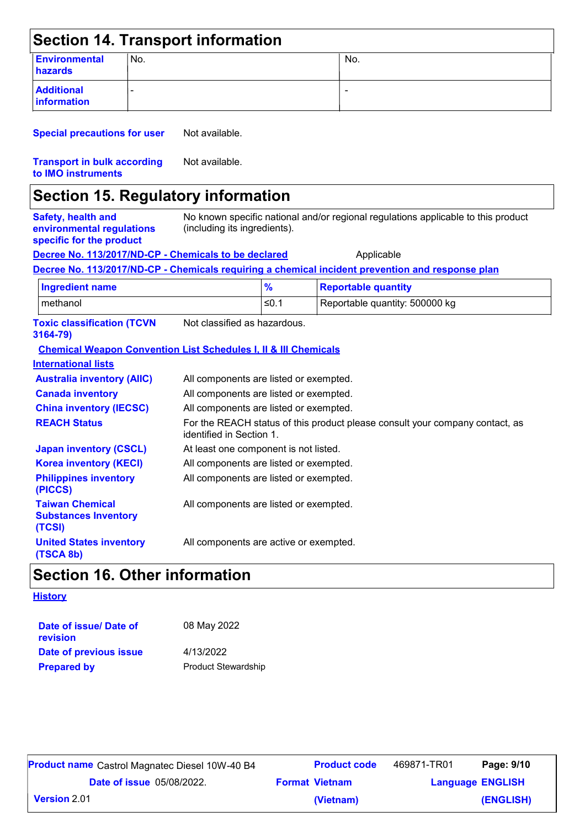|                                                                                    |     | <b>Section 14. Transport information</b>                                   |                                        |                                                                                                  |  |
|------------------------------------------------------------------------------------|-----|----------------------------------------------------------------------------|----------------------------------------|--------------------------------------------------------------------------------------------------|--|
| <b>Environmental</b><br>hazards                                                    | No. |                                                                            |                                        | No.                                                                                              |  |
| <b>Additional</b><br>information                                                   |     |                                                                            |                                        |                                                                                                  |  |
| <b>Special precautions for user</b>                                                |     | Not available.                                                             |                                        |                                                                                                  |  |
| <b>Transport in bulk according</b><br>to IMO instruments                           |     | Not available.                                                             |                                        |                                                                                                  |  |
|                                                                                    |     | <b>Section 15. Regulatory information</b>                                  |                                        |                                                                                                  |  |
| <b>Safety, health and</b><br>environmental regulations<br>specific for the product |     | (including its ingredients).                                               |                                        | No known specific national and/or regional regulations applicable to this product                |  |
|                                                                                    |     | Decree No. 113/2017/ND-CP - Chemicals to be declared                       |                                        | Applicable                                                                                       |  |
|                                                                                    |     |                                                                            |                                        | Decree No. 113/2017/ND-CP - Chemicals requiring a chemical incident prevention and response plan |  |
| <b>Ingredient name</b>                                                             |     |                                                                            | $\frac{9}{6}$                          | <b>Reportable quantity</b>                                                                       |  |
| methanol                                                                           |     |                                                                            | $≤0.1$                                 | Reportable quantity: 500000 kg                                                                   |  |
| <b>Toxic classification (TCVN</b><br>3164-79)                                      |     | Not classified as hazardous.                                               |                                        |                                                                                                  |  |
|                                                                                    |     | <b>Chemical Weapon Convention List Schedules I, II &amp; III Chemicals</b> |                                        |                                                                                                  |  |
| <b>International lists</b>                                                         |     |                                                                            |                                        |                                                                                                  |  |
| <b>Australia inventory (AIIC)</b>                                                  |     | All components are listed or exempted.                                     |                                        |                                                                                                  |  |
| <b>Canada inventory</b>                                                            |     |                                                                            | All components are listed or exempted. |                                                                                                  |  |
| <b>China inventory (IECSC)</b>                                                     |     | All components are listed or exempted.                                     |                                        |                                                                                                  |  |
| <b>REACH Status</b>                                                                |     | identified in Section 1.                                                   |                                        | For the REACH status of this product please consult your company contact, as                     |  |
| <b>Japan inventory (CSCL)</b>                                                      |     | At least one component is not listed.                                      |                                        |                                                                                                  |  |

| <u>Uapan miventory (OUUL)</u>                                   | At iddstrond component is not ilstoa.  |
|-----------------------------------------------------------------|----------------------------------------|
| <b>Korea inventory (KECI)</b>                                   | All components are listed or exempted. |
| <b>Philippines inventory</b><br>(PICCS)                         | All components are listed or exempted. |
| <b>Taiwan Chemical</b><br><b>Substances Inventory</b><br>(TCSI) | All components are listed or exempted. |

**United States inventory (TSCA 8b)** All components are active or exempted.

# **Section 16. Other information**

#### **History**

| Date of issue/ Date of<br>revision | 08 May 2022                |
|------------------------------------|----------------------------|
| Date of previous issue             | 4/13/2022                  |
| <b>Prepared by</b>                 | <b>Product Stewardship</b> |

| <b>Product name</b> Castrol Magnatec Diesel 10W-40 B4 |  | <b>Product code</b>   | 469871-TR01             | Page: 9/10 |
|-------------------------------------------------------|--|-----------------------|-------------------------|------------|
| <b>Date of issue 05/08/2022.</b>                      |  | <b>Format Vietnam</b> | <b>Language ENGLISH</b> |            |
| <b>Version</b> 2.01                                   |  | (Vietnam)             |                         | (ENGLISH)  |